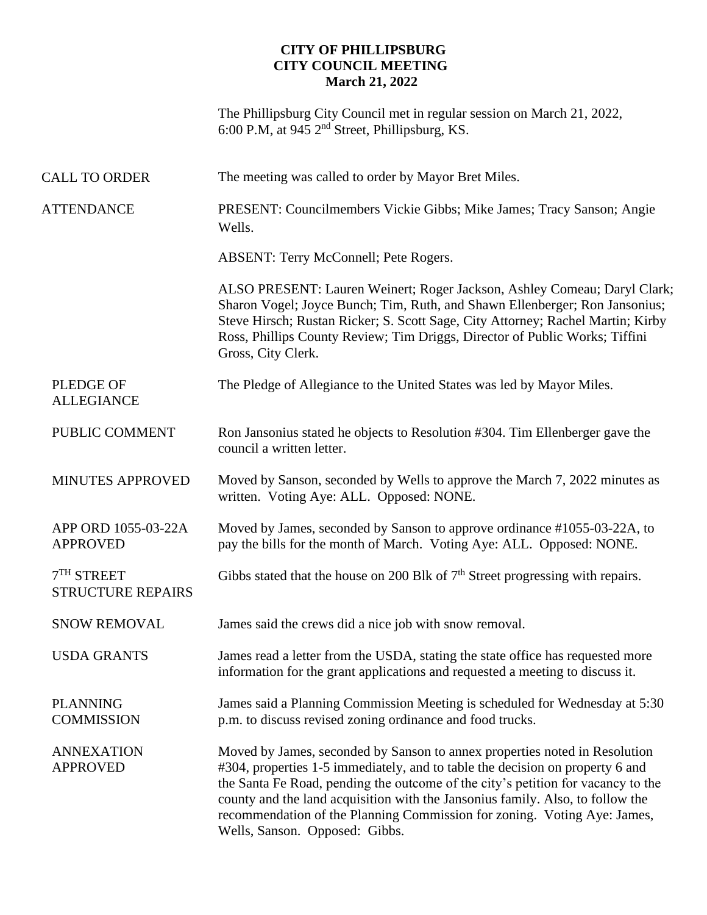## **CITY OF PHILLIPSBURG CITY COUNCIL MEETING March 21, 2022**

The Phillipsburg City Council met in regular session on March 21, 2022, 6:00 P.M, at 945  $2<sup>nd</sup>$  Street, Phillipsburg, KS.

| <b>CALL TO ORDER</b>                     | The meeting was called to order by Mayor Bret Miles.                                                                                                                                                                                                                                                                                                                                                                                            |
|------------------------------------------|-------------------------------------------------------------------------------------------------------------------------------------------------------------------------------------------------------------------------------------------------------------------------------------------------------------------------------------------------------------------------------------------------------------------------------------------------|
| <b>ATTENDANCE</b>                        | PRESENT: Councilmembers Vickie Gibbs; Mike James; Tracy Sanson; Angie<br>Wells.                                                                                                                                                                                                                                                                                                                                                                 |
|                                          | <b>ABSENT: Terry McConnell; Pete Rogers.</b>                                                                                                                                                                                                                                                                                                                                                                                                    |
|                                          | ALSO PRESENT: Lauren Weinert; Roger Jackson, Ashley Comeau; Daryl Clark;<br>Sharon Vogel; Joyce Bunch; Tim, Ruth, and Shawn Ellenberger; Ron Jansonius;<br>Steve Hirsch; Rustan Ricker; S. Scott Sage, City Attorney; Rachel Martin; Kirby<br>Ross, Phillips County Review; Tim Driggs, Director of Public Works; Tiffini<br>Gross, City Clerk.                                                                                                 |
| <b>PLEDGE OF</b><br><b>ALLEGIANCE</b>    | The Pledge of Allegiance to the United States was led by Mayor Miles.                                                                                                                                                                                                                                                                                                                                                                           |
| PUBLIC COMMENT                           | Ron Jansonius stated he objects to Resolution #304. Tim Ellenberger gave the<br>council a written letter.                                                                                                                                                                                                                                                                                                                                       |
| <b>MINUTES APPROVED</b>                  | Moved by Sanson, seconded by Wells to approve the March 7, 2022 minutes as<br>written. Voting Aye: ALL. Opposed: NONE.                                                                                                                                                                                                                                                                                                                          |
| APP ORD 1055-03-22A<br><b>APPROVED</b>   | Moved by James, seconded by Sanson to approve ordinance #1055-03-22A, to<br>pay the bills for the month of March. Voting Aye: ALL. Opposed: NONE.                                                                                                                                                                                                                                                                                               |
| $7TH$ STREET<br><b>STRUCTURE REPAIRS</b> | Gibbs stated that the house on 200 Blk of $7th$ Street progressing with repairs.                                                                                                                                                                                                                                                                                                                                                                |
| <b>SNOW REMOVAL</b>                      | James said the crews did a nice job with snow removal.                                                                                                                                                                                                                                                                                                                                                                                          |
| <b>USDA GRANTS</b>                       | James read a letter from the USDA, stating the state office has requested more<br>information for the grant applications and requested a meeting to discuss it.                                                                                                                                                                                                                                                                                 |
| <b>PLANNING</b><br><b>COMMISSION</b>     | James said a Planning Commission Meeting is scheduled for Wednesday at 5:30<br>p.m. to discuss revised zoning ordinance and food trucks.                                                                                                                                                                                                                                                                                                        |
| <b>ANNEXATION</b><br><b>APPROVED</b>     | Moved by James, seconded by Sanson to annex properties noted in Resolution<br>#304, properties 1-5 immediately, and to table the decision on property 6 and<br>the Santa Fe Road, pending the outcome of the city's petition for vacancy to the<br>county and the land acquisition with the Jansonius family. Also, to follow the<br>recommendation of the Planning Commission for zoning. Voting Aye: James,<br>Wells, Sanson. Opposed: Gibbs. |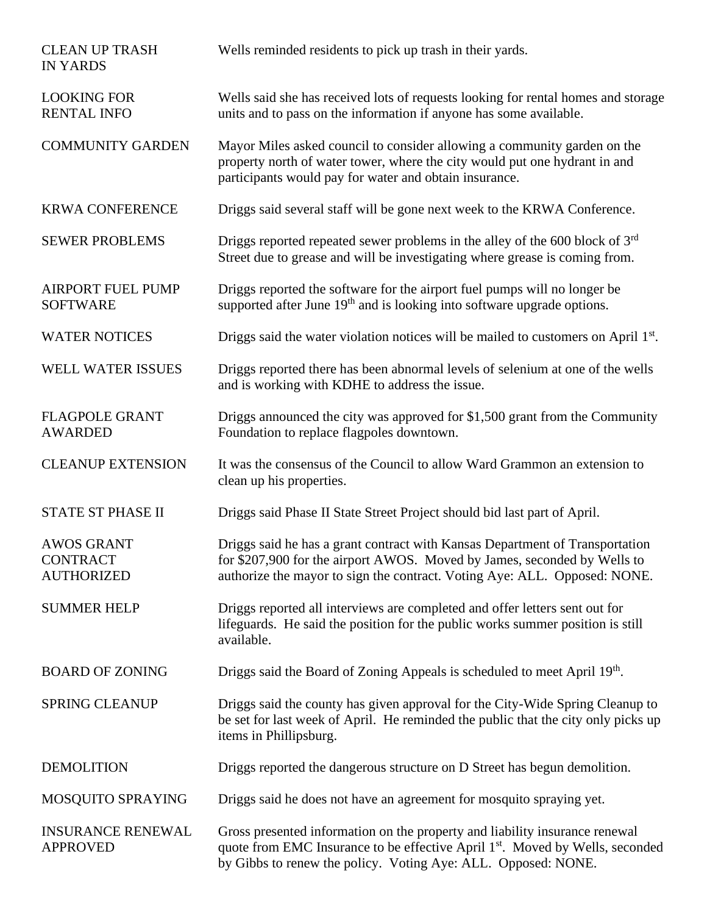| <b>CLEAN UP TRASH</b><br><b>IN YARDS</b>                  | Wells reminded residents to pick up trash in their yards.                                                                                                                                                                                 |
|-----------------------------------------------------------|-------------------------------------------------------------------------------------------------------------------------------------------------------------------------------------------------------------------------------------------|
| <b>LOOKING FOR</b><br><b>RENTAL INFO</b>                  | Wells said she has received lots of requests looking for rental homes and storage<br>units and to pass on the information if anyone has some available.                                                                                   |
| <b>COMMUNITY GARDEN</b>                                   | Mayor Miles asked council to consider allowing a community garden on the<br>property north of water tower, where the city would put one hydrant in and<br>participants would pay for water and obtain insurance.                          |
| <b>KRWA CONFERENCE</b>                                    | Driggs said several staff will be gone next week to the KRWA Conference.                                                                                                                                                                  |
| <b>SEWER PROBLEMS</b>                                     | Driggs reported repeated sewer problems in the alley of the 600 block of $3rd$<br>Street due to grease and will be investigating where grease is coming from.                                                                             |
| <b>AIRPORT FUEL PUMP</b><br><b>SOFTWARE</b>               | Driggs reported the software for the airport fuel pumps will no longer be<br>supported after June 19 <sup>th</sup> and is looking into software upgrade options.                                                                          |
| <b>WATER NOTICES</b>                                      | Driggs said the water violation notices will be mailed to customers on April 1 <sup>st</sup> .                                                                                                                                            |
| <b>WELL WATER ISSUES</b>                                  | Driggs reported there has been abnormal levels of selenium at one of the wells<br>and is working with KDHE to address the issue.                                                                                                          |
| <b>FLAGPOLE GRANT</b><br><b>AWARDED</b>                   | Driggs announced the city was approved for \$1,500 grant from the Community<br>Foundation to replace flagpoles downtown.                                                                                                                  |
| <b>CLEANUP EXTENSION</b>                                  | It was the consensus of the Council to allow Ward Grammon an extension to<br>clean up his properties.                                                                                                                                     |
| <b>STATE ST PHASE II</b>                                  | Driggs said Phase II State Street Project should bid last part of April.                                                                                                                                                                  |
| <b>AWOS GRANT</b><br><b>CONTRACT</b><br><b>AUTHORIZED</b> | Driggs said he has a grant contract with Kansas Department of Transportation<br>for \$207,900 for the airport AWOS. Moved by James, seconded by Wells to<br>authorize the mayor to sign the contract. Voting Aye: ALL. Opposed: NONE.     |
| <b>SUMMER HELP</b>                                        | Driggs reported all interviews are completed and offer letters sent out for<br>lifeguards. He said the position for the public works summer position is still<br>available.                                                               |
| <b>BOARD OF ZONING</b>                                    | Driggs said the Board of Zoning Appeals is scheduled to meet April 19th.                                                                                                                                                                  |
| <b>SPRING CLEANUP</b>                                     | Driggs said the county has given approval for the City-Wide Spring Cleanup to<br>be set for last week of April. He reminded the public that the city only picks up<br>items in Phillipsburg.                                              |
| <b>DEMOLITION</b>                                         | Driggs reported the dangerous structure on D Street has begun demolition.                                                                                                                                                                 |
| MOSQUITO SPRAYING                                         | Driggs said he does not have an agreement for mosquito spraying yet.                                                                                                                                                                      |
| <b>INSURANCE RENEWAL</b><br><b>APPROVED</b>               | Gross presented information on the property and liability insurance renewal<br>quote from EMC Insurance to be effective April 1 <sup>st</sup> . Moved by Wells, seconded<br>by Gibbs to renew the policy. Voting Aye: ALL. Opposed: NONE. |